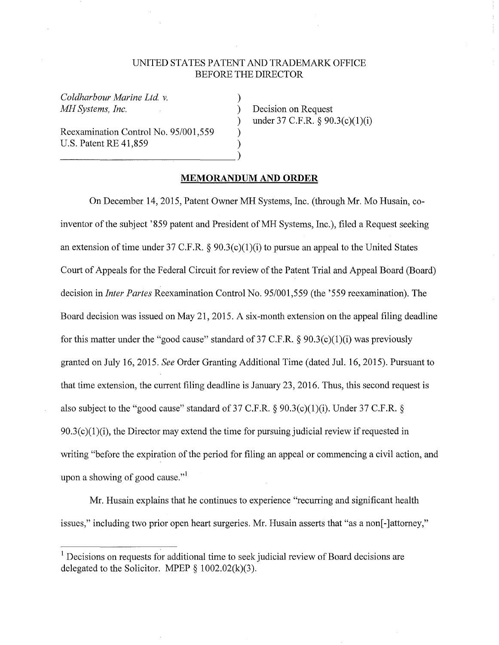## UNITED STATES PATENT AND TRADEMARK OFFICE BEFORE THE DIRECTOR

)

) )

*Coldharbour Marine Ltd v. MH Systems, Inc.* 

Reexamination Control No. 95/001,559 U.S. Patent RE 41,859 (2012)

) Decision on Request ) under 37 C.F.R.  $\S 90.3(c)(1)(i)$ 

## **MEMORANDUM AND ORDER**

On December 14, 2015, Patent Owner MH Systems, Inc. (through Mr. Mo Husain, coinventor of the subject '859 patent and President of MH Systems, Inc.), filed a Request seeking an extension of time under 37 C.F.R.  $\&$  90.3(c)(1)(i) to pursue an appeal to the United States Court of Appeals for the Federal Circuit for review of the Patent Trial and Appeal Board (Board) decision in *Inter Partes* Reexamination Control No. 95/001,559 (the '559 reexamination). The Board decision was issued on May 21, 2015. A six-month extension on the appeal filing deadline for this matter under the "good cause" standard of 37 C.F.R.  $\S 90.3(c)(1)(i)$  was previously granted on July 16, 2015. *See* Order Granting Additional Time (dated Jul. 16, 2015). Pursuant to that time extension, the current filing deadline is January 23, 2016. Thus, this second request is also subject to the "good cause" standard of 37 C.F.R.  $\S$  90.3(c)(1)(i). Under 37 C.F.R.  $\S$  $90.3(c)(1)(i)$ , the Director may extend the time for pursuing judicial review if requested in writing "before the expiration of the period for filing an appeal or commencing a civil action, and upon a showing of good cause."<sup>1</sup>

Mr. Husain explains that he continues to experience "recurring and significant health issues," including two prior open heart surgeries. Mr. Husain asserts that "as a non[-]attorney,"

<sup>&</sup>lt;sup>1</sup> Decisions on requests for additional time to seek judicial review of Board decisions are delegated to the Solicitor. MPEP  $\S$  1002.02(k)(3).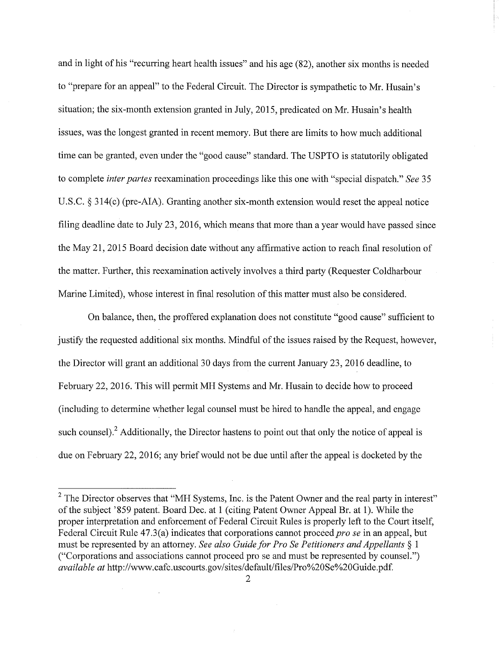and in light of his "recurring heart health issues" and his age (82), another six months is needed to "prepare for an appeal" to the Federal Circuit. The Director is sympathetic to Mr. Husain's situation; the six-month extension granted in July, 2015, predicated on Mr. Husain's health issues, was the longest granted in recent memory. But there are limits to how much additional time can be granted, even under the "good cause" standard. The USPTO is statutorily obligated to complete *inter partes* reexamination proceedings like this one with "special dispatch." *See* 35 U.S.C. § 314(c) (pre-AJA). Granting another six-month extension would reset the appeal notice filing deadline date to July 23, 2016, which means that more than a year would have passed since the May 21, 2015 Board decision date without any affirmative action to reach final resolution of the matter. Further, this reexamination actively involves a third party (Requester Coldharbour Marine Limited), whose interest in final resolution of this matter must also be considered.

On balance, then, the proffered explanation does not constitute "good cause" sufficient to justify the requested additional six months. Mindful of the issues raised by the Request, however, the Director will grant an additional 30 days from the current January 23, 2016 deadline, to February 22, 2016. This will permit MH Systems and Mr. Husain to decide how to proceed (including to determine whether legal counsel must be hired to handle the appeal, and engage such counsel).<sup>2</sup> Additionally, the Director hastens to point out that only the notice of appeal is due on February 22, 2016; any brief would not be due until after the appeal is docketed by the

 $2$  The Director observes that "MH Systems, Inc. is the Patent Owner and the real party in interest" of the subject '859 patent. Board Dec. at 1 (citing Patent Owner Appeal Br. at 1). While the proper interpretation and enforcement of Federal Circuit Rules is properly left to the Court itself, Federal Circuit Rule 47.3(a) indicates that corporations cannot proceed *pro se* in an appeal, but must be represented by an attorney. *See also Guide for Pro Se Petitioners and Appellants* § l ("Corporations and associations cannot proceed pro se and must be represented by counsel.") *available at* http://www.cafc.uscourts.gov/sites/default/files/Pro%20Se%20Guide.pdf.